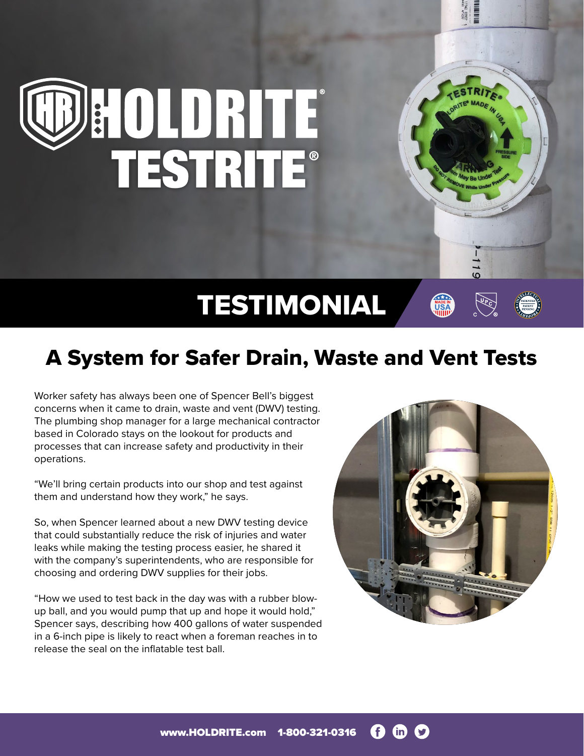## DE OLDRITE

## TESTIMONIAL

## A System for Safer Drain, Waste and Vent Tests

Worker safety has always been one of Spencer Bell's biggest concerns when it came to drain, waste and vent (DWV) testing. The plumbing shop manager for a large mechanical contractor based in Colorado stays on the lookout for products and processes that can increase safety and productivity in their operations.

"We'll bring certain products into our shop and test against them and understand how they work," he says.

So, when Spencer learned about a new DWV testing device that could substantially reduce the risk of injuries and water leaks while making the testing process easier, he shared it with the company's superintendents, who are responsible for choosing and ordering DWV supplies for their jobs.

"How we used to test back in the day was with a rubber blowup ball, and you would pump that up and hope it would hold," Spencer says, describing how 400 gallons of water suspended in a 6-inch pipe is likely to react when a foreman reaches in to release the seal on the inflatable test ball.

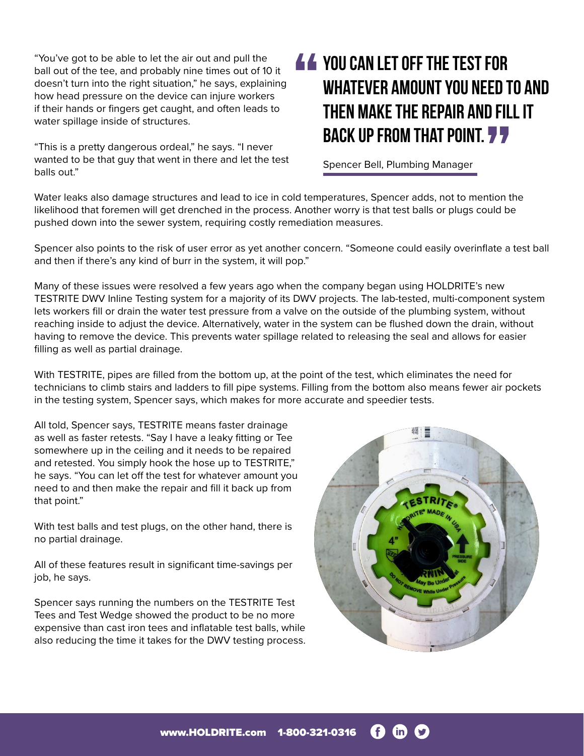"You've got to be able to let the air out and pull the ball out of the tee, and probably nine times out of 10 it doesn't turn into the right situation," he says, explaining how head pressure on the device can injure workers if their hands or fingers get caught, and often leads to water spillage inside of structures.

"This is a pretty dangerous ordeal," he says. "I never wanted to be that guy that went in there and let the test balls out."

## **You can let off the test for whatever amount you need to and then make the repair and fill it back up from that point.**

Spencer Bell, Plumbing Manager

Water leaks also damage structures and lead to ice in cold temperatures, Spencer adds, not to mention the likelihood that foremen will get drenched in the process. Another worry is that test balls or plugs could be pushed down into the sewer system, requiring costly remediation measures.

Spencer also points to the risk of user error as yet another concern. "Someone could easily overinflate a test ball and then if there's any kind of burr in the system, it will pop."

Many of these issues were resolved a few years ago when the company began using HOLDRITE's new TESTRITE DWV Inline Testing system for a majority of its DWV projects. The lab-tested, multi-component system lets workers fill or drain the water test pressure from a valve on the outside of the plumbing system, without reaching inside to adjust the device. Alternatively, water in the system can be flushed down the drain, without having to remove the device. This prevents water spillage related to releasing the seal and allows for easier filling as well as partial drainage.

With TESTRITE, pipes are filled from the bottom up, at the point of the test, which eliminates the need for technicians to climb stairs and ladders to fill pipe systems. Filling from the bottom also means fewer air pockets in the testing system, Spencer says, which makes for more accurate and speedier tests.

All told, Spencer says, TESTRITE means faster drainage as well as faster retests. "Say I have a leaky fitting or Tee somewhere up in the ceiling and it needs to be repaired and retested. You simply hook the hose up to TESTRITE," he says. "You can let off the test for whatever amount you need to and then make the repair and fill it back up from that point."

With test balls and test plugs, on the other hand, there is no partial drainage.

All of these features result in significant time-savings per job, he says.

Spencer says running the numbers on the TESTRITE Test Tees and Test Wedge showed the product to be no more expensive than cast iron tees and inflatable test balls, while also reducing the time it takes for the DWV testing process.



Œ www.HOLDRITE.com 1-800-321-0316 (in)